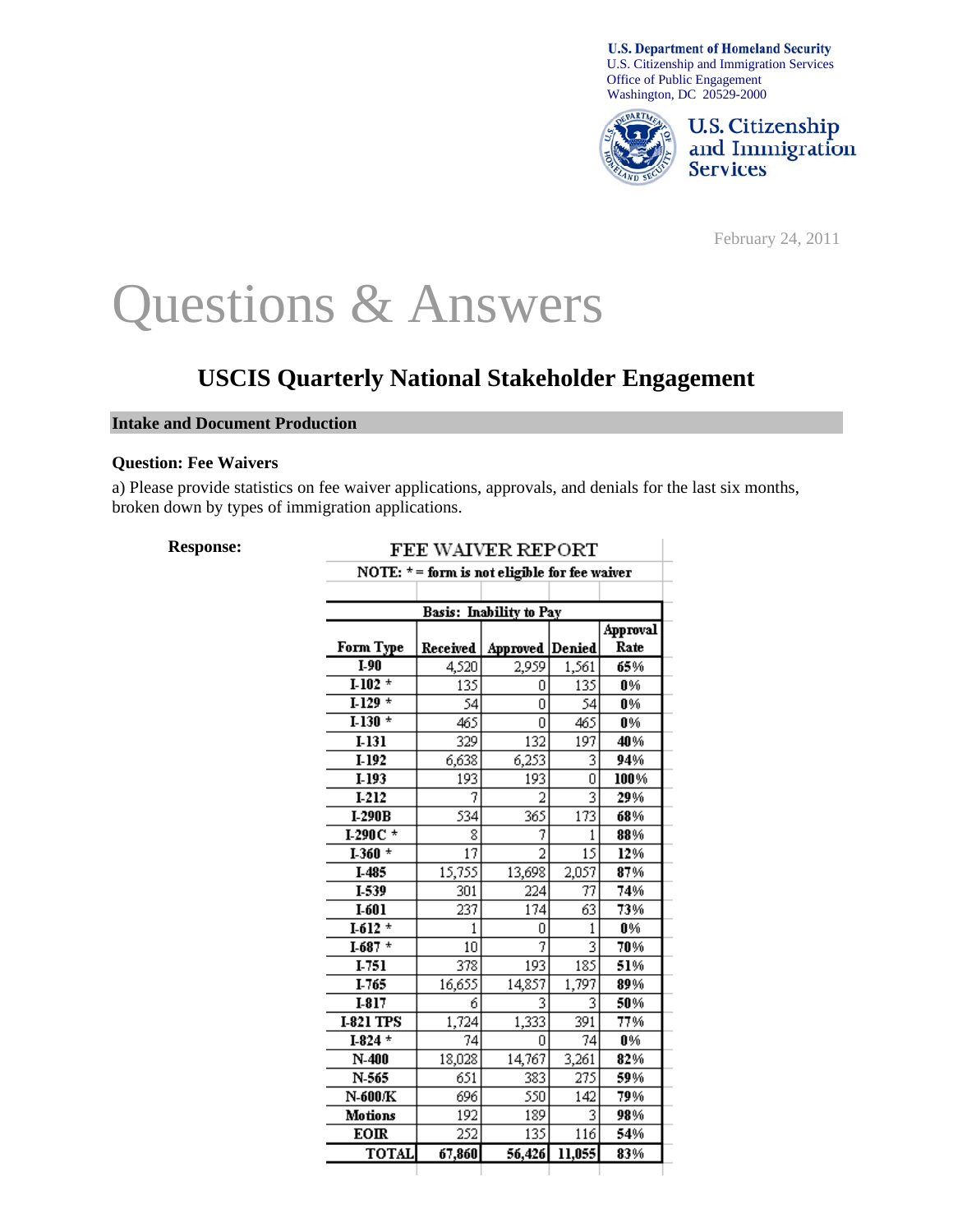



February 24, 2011

# Questions & Answers

# **USCIS Quarterly National Stakeholder Engagement**

#### **Intake and Document Production**

#### **Question: Fee Waivers**

a) Please provide statistics on fee waiver applications, approvals, and denials for the last six months, broken down by types of immigration applications.

#### **Response:**

| <b>FEE WAIVER REPORT</b><br>NOTE: $* =$ form is not eligible for fee waiver |          |                        |        |                 |
|-----------------------------------------------------------------------------|----------|------------------------|--------|-----------------|
|                                                                             |          |                        |        |                 |
| <b>Basis:</b> Inability to Pay                                              |          |                        |        |                 |
|                                                                             |          |                        |        | <b>Approval</b> |
| Form Type                                                                   | Received | <b>Approved Denied</b> |        | Rate            |
| $I-90$                                                                      | 4,520    | 2,959                  | 1,561  | 65%             |
| $1-102$ *                                                                   | 135      | 0                      | 135    | 0%              |
| $1-129$ *                                                                   | 54       | 0                      | 54     | 0%              |
| $1-130$ *                                                                   | 465      | Ū                      | 465    | 0%              |
| $I-131$                                                                     | 329      | 132                    | 197    | 40%             |
| $I-192$                                                                     | 6,638    | 6,253                  | 3      | 94%             |
| $I-193$                                                                     | 193      | 193                    | 0      | 100%            |
| I-212                                                                       | 7        | 2                      | 3      | 29%             |
| $I-290B$                                                                    | 534      | 365                    | 173    | 68%             |
| $1-290C$ *                                                                  | 8        | 7                      | 1      | 88%             |
| $I-360$ *                                                                   | 17       | $\overline{2}$         | 15     | 12%             |
| I-485                                                                       | 15,755   | 13,698                 | 2,057  | 87%             |
| I-539                                                                       | 301      | 224                    | 77     | 74%             |
| $I-601$                                                                     | 237      | 174                    | 63     | 73%             |
| $1-612$ *                                                                   | 1        | n                      | 1      | 0%              |
| $I-687$ *                                                                   | 10       | 7                      |        | 70%             |
| I-751                                                                       | 378      | 193                    | 185    | 51%             |
| I-765                                                                       | 16,655   | 14,857                 | 1,797  | 89%             |
| $I-817$                                                                     | 6        | 3                      | 3      | 50%             |
| <b>I-821 TPS</b>                                                            | 1,724    | 1,333                  | 391    | 77%             |
| $I-824$ *                                                                   | 74       | n                      | 74     | 0%              |
| $N-400$                                                                     | 18,028   | 14,767                 | 3,261  | 82%             |
| N-565                                                                       | 651      | 383                    | 275    | 59%             |
| N-600/K                                                                     | 696      | 550                    | 142    | 79%             |
| Motions                                                                     | 192      | 189                    | 3      | 98%             |
| <b>EOIR</b>                                                                 | 252      | 135                    | 116    | 54%             |
| <b>TOTAL</b>                                                                | 67,860   | 56,426                 | 11,055 | 83%             |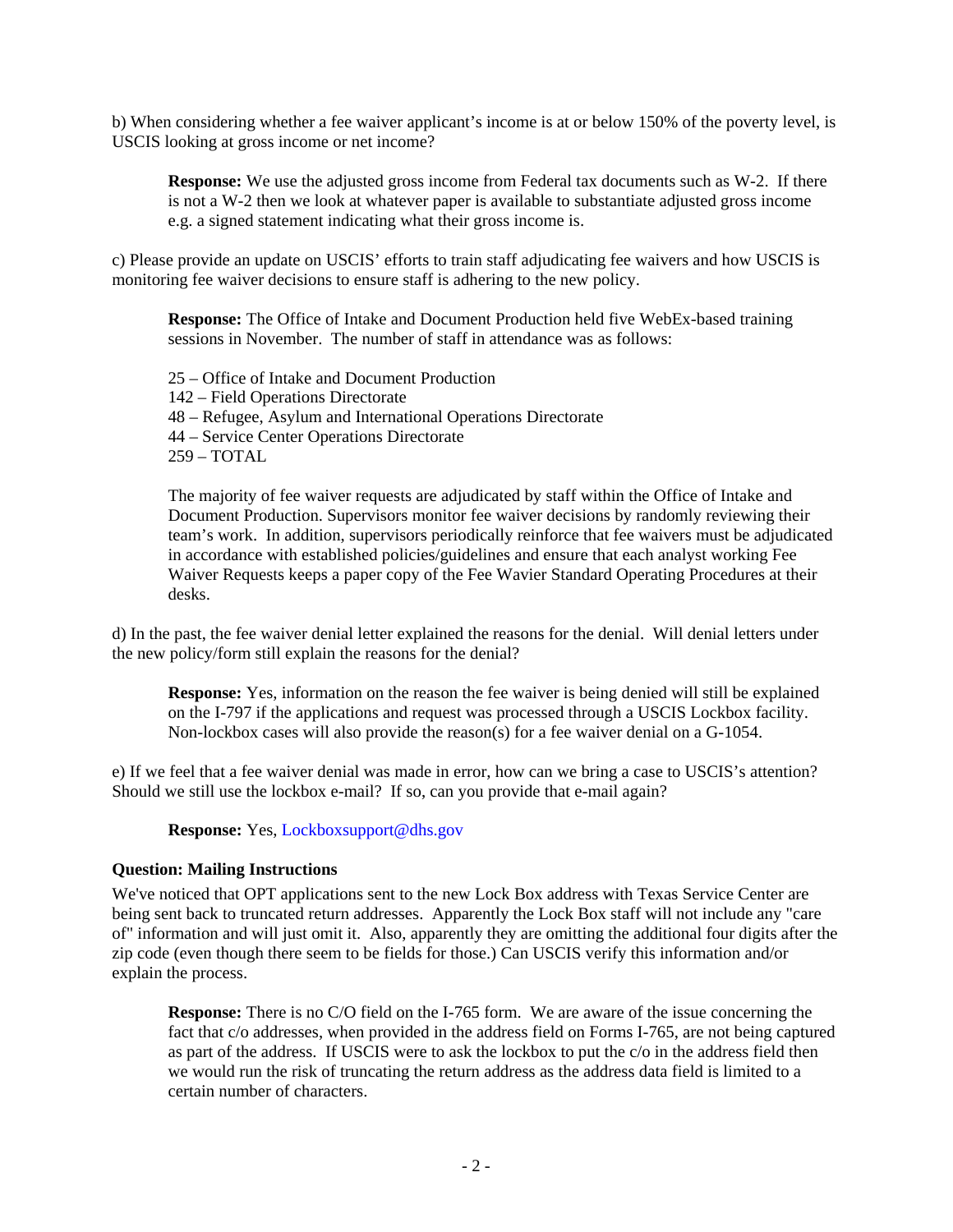b) When considering whether a fee waiver applicant's income is at or below 150% of the poverty level, is USCIS looking at gross income or net income?

**Response:** We use the adjusted gross income from Federal tax documents such as W-2. If there is not a W-2 then we look at whatever paper is available to substantiate adjusted gross income e.g. a signed statement indicating what their gross income is.

c) Please provide an update on USCIS' efforts to train staff adjudicating fee waivers and how USCIS is monitoring fee waiver decisions to ensure staff is adhering to the new policy.

**Response:** The Office of Intake and Document Production held five WebEx-based training sessions in November. The number of staff in attendance was as follows:

25 – Office of Intake and Document Production 142 – Field Operations Directorate 48 – Refugee, Asylum and International Operations Directorate 44 – Service Center Operations Directorate 259 – TOTAL

The majority of fee waiver requests are adjudicated by staff within the Office of Intake and Document Production. Supervisors monitor fee waiver decisions by randomly reviewing their team's work. In addition, supervisors periodically reinforce that fee waivers must be adjudicated in accordance with established policies/guidelines and ensure that each analyst working Fee Waiver Requests keeps a paper copy of the Fee Wavier Standard Operating Procedures at their desks.

d) In the past, the fee waiver denial letter explained the reasons for the denial. Will denial letters under the new policy/form still explain the reasons for the denial?

**Response:** Yes, information on the reason the fee waiver is being denied will still be explained on the I-797 if the applications and request was processed through a USCIS Lockbox facility. Non-lockbox cases will also provide the reason(s) for a fee waiver denial on a G-1054.

e) If we feel that a fee waiver denial was made in error, how can we bring a case to USCIS's attention? Should we still use the lockbox e-mail? If so, can you provide that e-mail again?

**Response:** Yes, [Lockboxsupport@dhs.gov](mailto:Lockboxsupport@dhs.gov)

# **Question: Mailing Instructions**

We've noticed that OPT applications sent to the new Lock Box address with Texas Service Center are being sent back to truncated return addresses. Apparently the Lock Box staff will not include any "care of" information and will just omit it. Also, apparently they are omitting the additional four digits after the zip code (even though there seem to be fields for those.) Can USCIS verify this information and/or explain the process.

**Response:** There is no C/O field on the I-765 form. We are aware of the issue concerning the fact that c/o addresses, when provided in the address field on Forms I-765, are not being captured as part of the address. If USCIS were to ask the lockbox to put the c/o in the address field then we would run the risk of truncating the return address as the address data field is limited to a certain number of characters.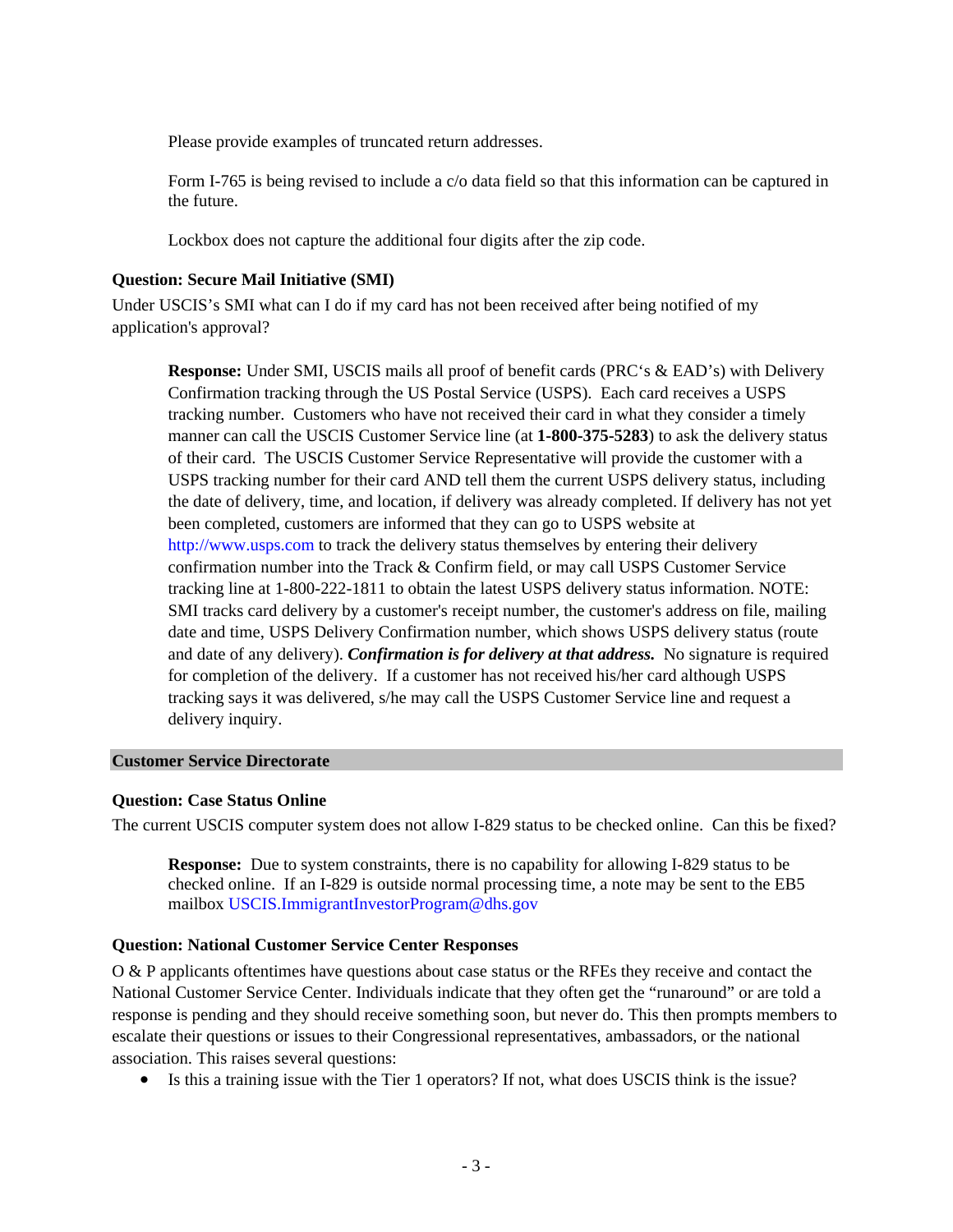Please provide examples of truncated return addresses.

Form I-765 is being revised to include a c/o data field so that this information can be captured in the future.

Lockbox does not capture the additional four digits after the zip code.

#### **Question: Secure Mail Initiative (SMI)**

Under USCIS's SMI what can I do if my card has not been received after being notified of my application's approval?

**Response:** Under SMI, USCIS mails all proof of benefit cards (PRC's & EAD's) with Delivery Confirmation tracking through the US Postal Service (USPS). Each card receives a USPS tracking number. Customers who have not received their card in what they consider a timely manner can call the USCIS Customer Service line (at **1-800-375-5283**) to ask the delivery status of their card. The USCIS Customer Service Representative will provide the customer with a USPS tracking number for their card AND tell them the current USPS delivery status, including the date of delivery, time, and location, if delivery was already completed. If delivery has not yet been completed, customers are informed that they can go to USPS website at [http://www.usps.com](http://www.usps.com/) to track the delivery status themselves by entering their delivery confirmation number into the Track & Confirm field, or may call USPS Customer Service tracking line at 1-800-222-1811 to obtain the latest USPS delivery status information. NOTE: SMI tracks card delivery by a customer's receipt number, the customer's address on file, mailing date and time, USPS Delivery Confirmation number, which shows USPS delivery status (route and date of any delivery). *Confirmation is for delivery at that address.* No signature is required for completion of the delivery. If a customer has not received his/her card although USPS tracking says it was delivered, s/he may call the USPS Customer Service line and request a delivery inquiry.

#### **Customer Service Directorate**

# **Question: Case Status Online**

The current USCIS computer system does not allow I-829 status to be checked online. Can this be fixed?

**Response:** Due to system constraints, there is no capability for allowing I-829 status to be checked online. If an I-829 is outside normal processing time, a note may be sent to the EB5 mailbox [USCIS.ImmigrantInvestorProgram@dhs.gov](mailto:USCIS.ImmigrantInvestorProgram@dhs.gov)

# **Question: National Customer Service Center Responses**

O & P applicants oftentimes have questions about case status or the RFEs they receive and contact the National Customer Service Center. Individuals indicate that they often get the "runaround" or are told a response is pending and they should receive something soon, but never do. This then prompts members to escalate their questions or issues to their Congressional representatives, ambassadors, or the national association. This raises several questions:

• Is this a training issue with the Tier 1 operators? If not, what does USCIS think is the issue?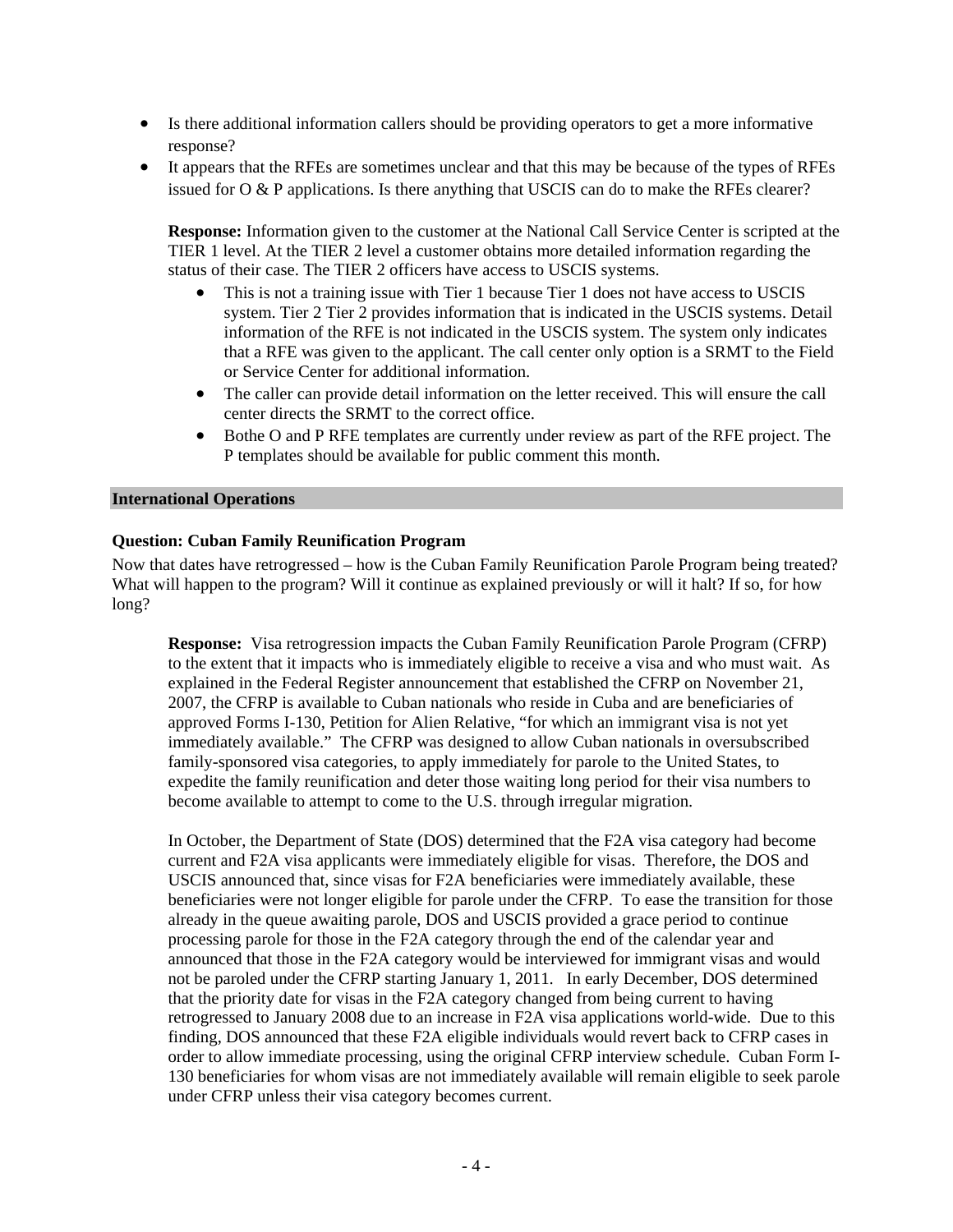- Is there additional information callers should be providing operators to get a more informative response?
- It appears that the RFEs are sometimes unclear and that this may be because of the types of RFEs issued for O & P applications. Is there anything that USCIS can do to make the RFEs clearer?

**Response:** Information given to the customer at the National Call Service Center is scripted at the TIER 1 level. At the TIER 2 level a customer obtains more detailed information regarding the status of their case. The TIER 2 officers have access to USCIS systems.

- This is not a training issue with Tier 1 because Tier 1 does not have access to USCIS system. Tier 2 Tier 2 provides information that is indicated in the USCIS systems. Detail information of the RFE is not indicated in the USCIS system. The system only indicates that a RFE was given to the applicant. The call center only option is a SRMT to the Field or Service Center for additional information.
- The caller can provide detail information on the letter received. This will ensure the call center directs the SRMT to the correct office.
- Bothe O and P RFE templates are currently under review as part of the RFE project. The P templates should be available for public comment this month.

#### **International Operations**

# **Question: Cuban Family Reunification Program**

Now that dates have retrogressed – how is the Cuban Family Reunification Parole Program being treated? What will happen to the program? Will it continue as explained previously or will it halt? If so, for how long?

**Response:** Visa retrogression impacts the Cuban Family Reunification Parole Program (CFRP) to the extent that it impacts who is immediately eligible to receive a visa and who must wait. As explained in the Federal Register announcement that established the CFRP on November 21, 2007, the CFRP is available to Cuban nationals who reside in Cuba and are beneficiaries of approved Forms I-130, Petition for Alien Relative, "for which an immigrant visa is not yet immediately available." The CFRP was designed to allow Cuban nationals in oversubscribed family-sponsored visa categories, to apply immediately for parole to the United States, to expedite the family reunification and deter those waiting long period for their visa numbers to become available to attempt to come to the U.S. through irregular migration.

In October, the Department of State (DOS) determined that the F2A visa category had become current and F2A visa applicants were immediately eligible for visas. Therefore, the DOS and USCIS announced that, since visas for F2A beneficiaries were immediately available, these beneficiaries were not longer eligible for parole under the CFRP. To ease the transition for those already in the queue awaiting parole, DOS and USCIS provided a grace period to continue processing parole for those in the F2A category through the end of the calendar year and announced that those in the F2A category would be interviewed for immigrant visas and would not be paroled under the CFRP starting January 1, 2011. In early December, DOS determined that the priority date for visas in the F2A category changed from being current to having retrogressed to January 2008 due to an increase in F2A visa applications world-wide. Due to this finding, DOS announced that these F2A eligible individuals would revert back to CFRP cases in order to allow immediate processing, using the original CFRP interview schedule. Cuban Form I-130 beneficiaries for whom visas are not immediately available will remain eligible to seek parole under CFRP unless their visa category becomes current.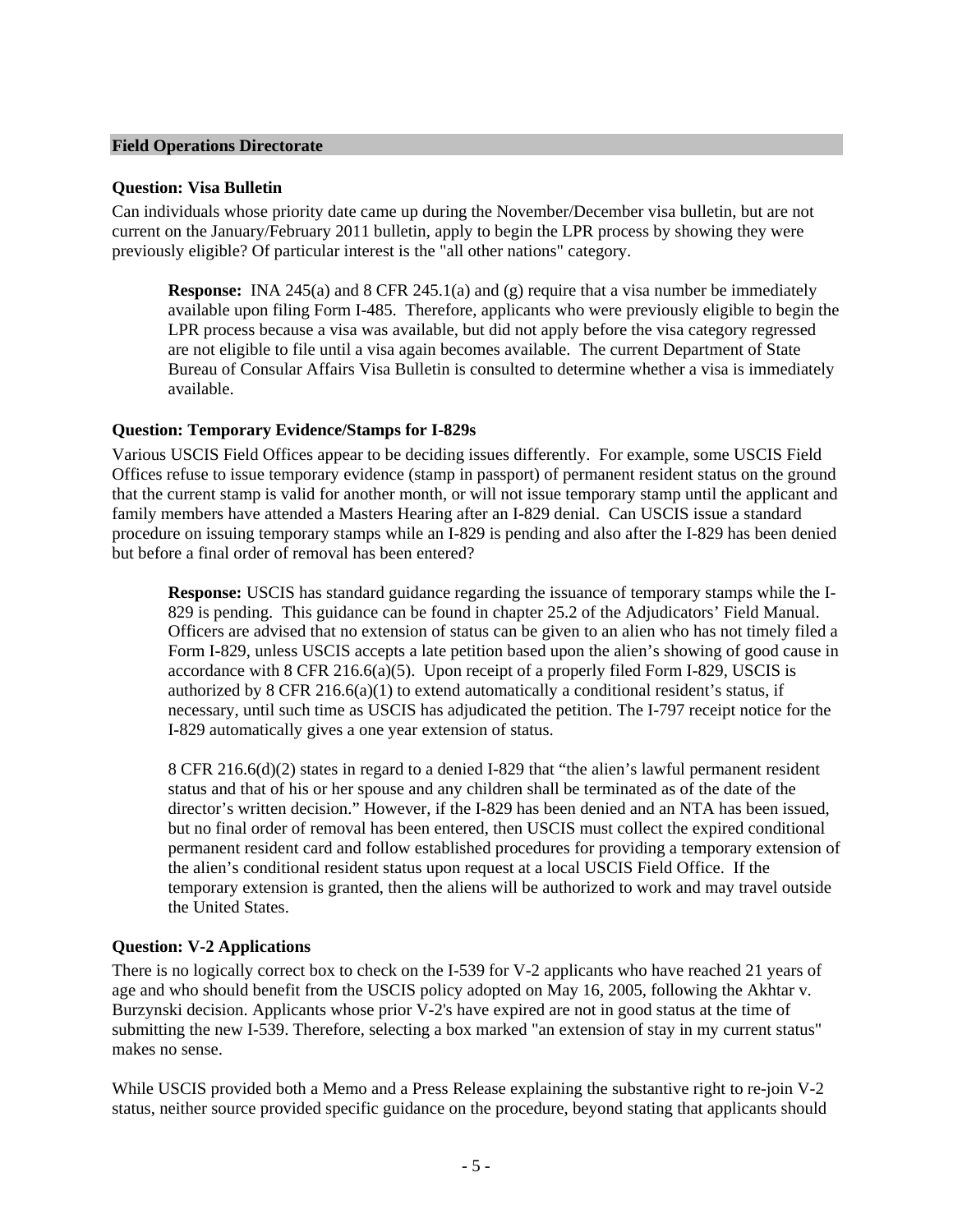#### **Field Operations Directorate**

#### **Question: Visa Bulletin**

Can individuals whose priority date came up during the November/December visa bulletin, but are not current on the January/February 2011 bulletin, apply to begin the LPR process by showing they were previously eligible? Of particular interest is the "all other nations" category.

**Response:** INA 245(a) and 8 CFR 245.1(a) and (g) require that a visa number be immediately available upon filing Form I-485. Therefore, applicants who were previously eligible to begin the LPR process because a visa was available, but did not apply before the visa category regressed are not eligible to file until a visa again becomes available. The current Department of State Bureau of Consular Affairs Visa Bulletin is consulted to determine whether a visa is immediately available.

#### **Question: Temporary Evidence/Stamps for I-829s**

Various USCIS Field Offices appear to be deciding issues differently. For example, some USCIS Field Offices refuse to issue temporary evidence (stamp in passport) of permanent resident status on the ground that the current stamp is valid for another month, or will not issue temporary stamp until the applicant and family members have attended a Masters Hearing after an I-829 denial. Can USCIS issue a standard procedure on issuing temporary stamps while an I-829 is pending and also after the I-829 has been denied but before a final order of removal has been entered?

**Response:** USCIS has standard guidance regarding the issuance of temporary stamps while the I-829 is pending. This guidance can be found in chapter 25.2 of the Adjudicators' Field Manual. Officers are advised that no extension of status can be given to an alien who has not timely filed a Form I-829, unless USCIS accepts a late petition based upon the alien's showing of good cause in accordance with 8 CFR 216.6(a)(5). Upon receipt of a properly filed Form I-829, USCIS is authorized by 8 CFR 216.6(a)(1) to extend automatically a conditional resident's status, if necessary, until such time as USCIS has adjudicated the petition. The I-797 receipt notice for the I-829 automatically gives a one year extension of status.

8 CFR 216.6(d)(2) states in regard to a denied I-829 that "the alien's lawful permanent resident status and that of his or her spouse and any children shall be terminated as of the date of the director's written decision." However, if the I-829 has been denied and an NTA has been issued, but no final order of removal has been entered, then USCIS must collect the expired conditional permanent resident card and follow established procedures for providing a temporary extension of the alien's conditional resident status upon request at a local USCIS Field Office. If the temporary extension is granted, then the aliens will be authorized to work and may travel outside the United States.

# **Question: V-2 Applications**

There is no logically correct box to check on the I-539 for V-2 applicants who have reached 21 years of age and who should benefit from the USCIS policy adopted on May 16, 2005, following the Akhtar v. Burzynski decision. Applicants whose prior V-2's have expired are not in good status at the time of submitting the new I-539. Therefore, selecting a box marked "an extension of stay in my current status" makes no sense.

While USCIS provided both a Memo and a Press Release explaining the substantive right to re-join V-2 status, neither source provided specific guidance on the procedure, beyond stating that applicants should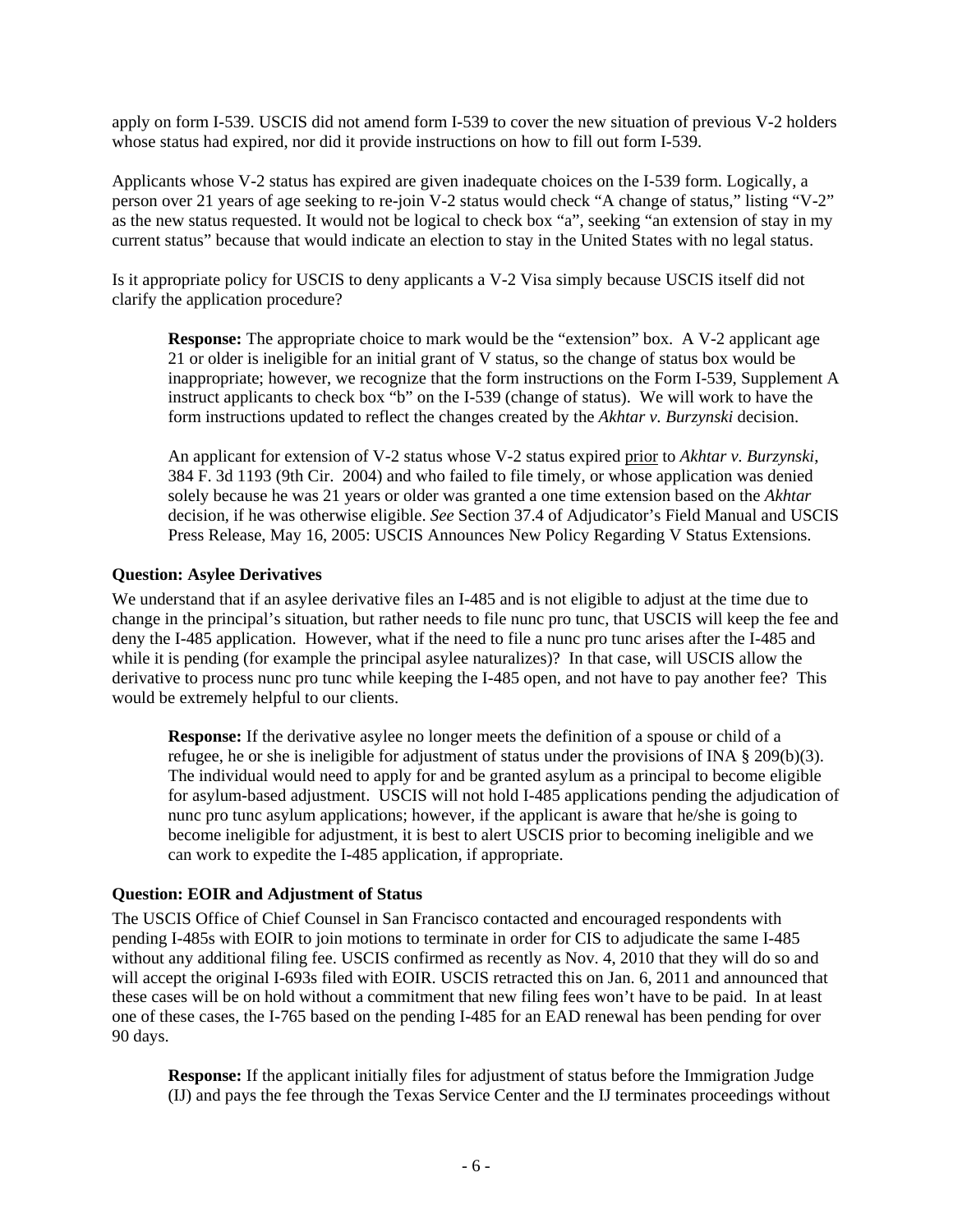apply on form I-539. USCIS did not amend form I-539 to cover the new situation of previous V-2 holders whose status had expired, nor did it provide instructions on how to fill out form I-539.

Applicants whose V-2 status has expired are given inadequate choices on the I-539 form. Logically, a person over 21 years of age seeking to re-join V-2 status would check "A change of status," listing "V-2" as the new status requested. It would not be logical to check box "a", seeking "an extension of stay in my current status" because that would indicate an election to stay in the United States with no legal status.

Is it appropriate policy for USCIS to deny applicants a V-2 Visa simply because USCIS itself did not clarify the application procedure?

**Response:** The appropriate choice to mark would be the "extension" box. A V-2 applicant age 21 or older is ineligible for an initial grant of V status, so the change of status box would be inappropriate; however, we recognize that the form instructions on the Form I-539, Supplement A instruct applicants to check box "b" on the I-539 (change of status). We will work to have the form instructions updated to reflect the changes created by the *Akhtar v. Burzynski* decision.

An applicant for extension of V-2 status whose V-2 status expired prior to *Akhtar v. Burzynski*, 384 F. 3d 1193 (9th Cir. 2004) and who failed to file timely, or whose application was denied solely because he was 21 years or older was granted a one time extension based on the *Akhtar*  decision, if he was otherwise eligible. *See* Section 37.4 of Adjudicator's Field Manual and USCIS Press Release, May 16, 2005: USCIS Announces New Policy Regarding V Status Extensions.

# **Question: Asylee Derivatives**

We understand that if an asylee derivative files an I-485 and is not eligible to adjust at the time due to change in the principal's situation, but rather needs to file nunc pro tunc, that USCIS will keep the fee and deny the I-485 application. However, what if the need to file a nunc pro tunc arises after the I-485 and while it is pending (for example the principal asylee naturalizes)? In that case, will USCIS allow the derivative to process nunc pro tunc while keeping the I-485 open, and not have to pay another fee? This would be extremely helpful to our clients.

**Response:** If the derivative asylee no longer meets the definition of a spouse or child of a refugee, he or she is ineligible for adjustment of status under the provisions of INA § 209(b)(3). The individual would need to apply for and be granted asylum as a principal to become eligible for asylum-based adjustment. USCIS will not hold I-485 applications pending the adjudication of nunc pro tunc asylum applications; however, if the applicant is aware that he/she is going to become ineligible for adjustment, it is best to alert USCIS prior to becoming ineligible and we can work to expedite the I-485 application, if appropriate.

# **Question: EOIR and Adjustment of Status**

The USCIS Office of Chief Counsel in San Francisco contacted and encouraged respondents with pending I-485s with EOIR to join motions to terminate in order for CIS to adjudicate the same I-485 without any additional filing fee. USCIS confirmed as recently as Nov. 4, 2010 that they will do so and will accept the original I-693s filed with EOIR. USCIS retracted this on Jan. 6, 2011 and announced that these cases will be on hold without a commitment that new filing fees won't have to be paid. In at least one of these cases, the I-765 based on the pending I-485 for an EAD renewal has been pending for over 90 days.

**Response:** If the applicant initially files for adjustment of status before the Immigration Judge (IJ) and pays the fee through the Texas Service Center and the IJ terminates proceedings without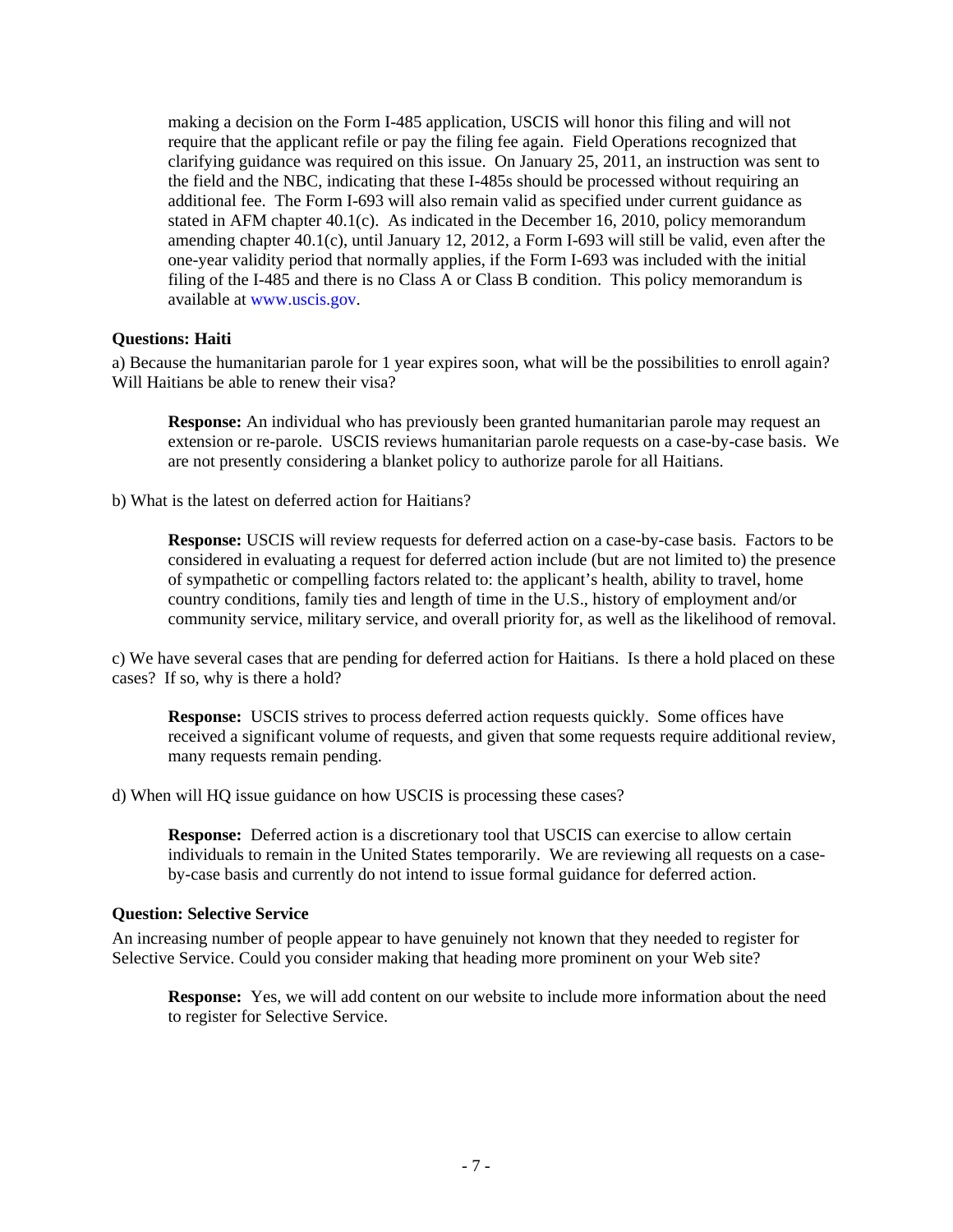making a decision on the Form I-485 application, USCIS will honor this filing and will not require that the applicant refile or pay the filing fee again. Field Operations recognized that clarifying guidance was required on this issue. On January 25, 2011, an instruction was sent to the field and the NBC, indicating that these I-485s should be processed without requiring an additional fee. The Form I-693 will also remain valid as specified under current guidance as stated in AFM chapter 40.1(c). As indicated in the December 16, 2010, policy memorandum amending chapter 40.1(c), until January 12, 2012, a Form I-693 will still be valid, even after the one-year validity period that normally applies, if the Form I-693 was included with the initial filing of the I-485 and there is no Class A or Class B condition. This policy memorandum is available at [www.uscis.gov.](http://www.uscis.gov/)

# **Questions: Haiti**

a) Because the humanitarian parole for 1 year expires soon, what will be the possibilities to enroll again? Will Haitians be able to renew their visa?

**Response:** An individual who has previously been granted humanitarian parole may request an extension or re-parole. USCIS reviews humanitarian parole requests on a case-by-case basis. We are not presently considering a blanket policy to authorize parole for all Haitians.

b) What is the latest on deferred action for Haitians?

**Response:** USCIS will review requests for deferred action on a case-by-case basis. Factors to be considered in evaluating a request for deferred action include (but are not limited to) the presence of sympathetic or compelling factors related to: the applicant's health, ability to travel, home country conditions, family ties and length of time in the U.S., history of employment and/or community service, military service, and overall priority for, as well as the likelihood of removal.

c) We have several cases that are pending for deferred action for Haitians. Is there a hold placed on these cases? If so, why is there a hold?

**Response:** USCIS strives to process deferred action requests quickly. Some offices have received a significant volume of requests, and given that some requests require additional review, many requests remain pending.

d) When will HQ issue guidance on how USCIS is processing these cases?

**Response:** Deferred action is a discretionary tool that USCIS can exercise to allow certain individuals to remain in the United States temporarily. We are reviewing all requests on a caseby-case basis and currently do not intend to issue formal guidance for deferred action.

#### **Question: Selective Service**

An increasing number of people appear to have genuinely not known that they needed to register for Selective Service. Could you consider making that heading more prominent on your Web site?

**Response:** Yes, we will add content on our website to include more information about the need to register for Selective Service.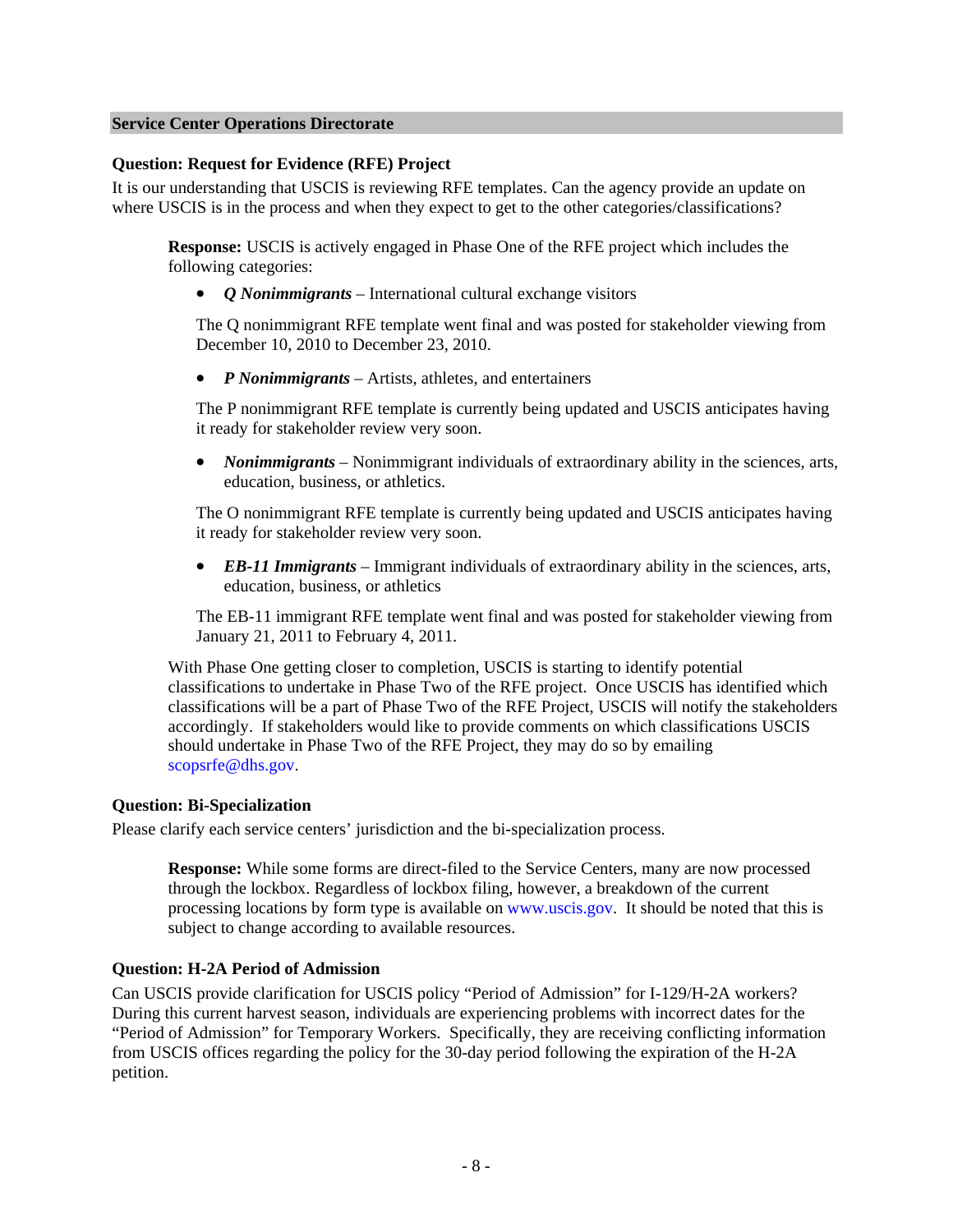## **Service Center Operations Directorate**

#### **Question: Request for Evidence (RFE) Project**

It is our understanding that USCIS is reviewing RFE templates. Can the agency provide an update on where USCIS is in the process and when they expect to get to the other categories/classifications?

**Response:** USCIS is actively engaged in Phase One of the RFE project which includes the following categories:

• *Q Nonimmigrants* – International cultural exchange visitors

The Q nonimmigrant RFE template went final and was posted for stakeholder viewing from December 10, 2010 to December 23, 2010.

• *P Nonimmigrants* – Artists, athletes, and entertainers

The P nonimmigrant RFE template is currently being updated and USCIS anticipates having it ready for stakeholder review very soon.

• *Nonimmigrants* – Nonimmigrant individuals of extraordinary ability in the sciences, arts, education, business, or athletics.

The O nonimmigrant RFE template is currently being updated and USCIS anticipates having it ready for stakeholder review very soon.

• *EB-11 Immigrants* – Immigrant individuals of extraordinary ability in the sciences, arts, education, business, or athletics

The EB-11 immigrant RFE template went final and was posted for stakeholder viewing from January 21, 2011 to February 4, 2011.

With Phase One getting closer to completion, USCIS is starting to identify potential classifications to undertake in Phase Two of the RFE project. Once USCIS has identified which classifications will be a part of Phase Two of the RFE Project, USCIS will notify the stakeholders accordingly. If stakeholders would like to provide comments on which classifications USCIS should undertake in Phase Two of the RFE Project, they may do so by emailing [scopsrfe@dhs.gov](mailto:scopsrfe@dhs.gov).

# **Question: Bi-Specialization**

Please clarify each service centers' jurisdiction and the bi-specialization process.

**Response:** While some forms are direct-filed to the Service Centers, many are now processed through the lockbox. Regardless of lockbox filing, however, a breakdown of the current processing locations by form type is available on [www.uscis.gov.](http://www.uscis.gov/) It should be noted that this is subject to change according to available resources.

#### **Question: H-2A Period of Admission**

Can USCIS provide clarification for USCIS policy "Period of Admission" for I-129/H-2A workers? During this current harvest season, individuals are experiencing problems with incorrect dates for the "Period of Admission" for Temporary Workers. Specifically, they are receiving conflicting information from USCIS offices regarding the policy for the 30-day period following the expiration of the H-2A petition.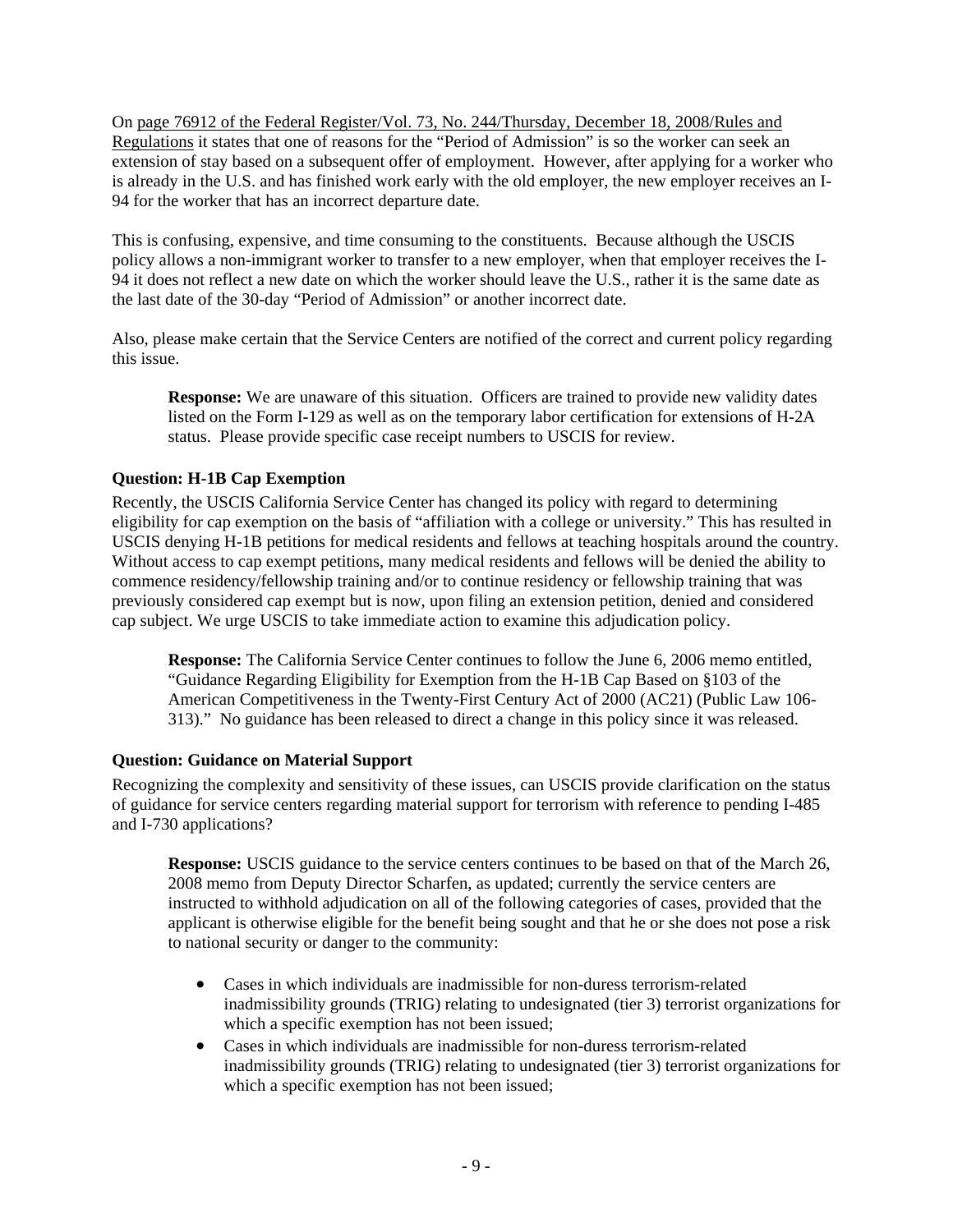On page 76912 of the Federal Register/Vol. 73, No. 244/Thursday, December 18, 2008/Rules and Regulations it states that one of reasons for the "Period of Admission" is so the worker can seek an extension of stay based on a subsequent offer of employment. However, after applying for a worker who is already in the U.S. and has finished work early with the old employer, the new employer receives an I-94 for the worker that has an incorrect departure date.

This is confusing, expensive, and time consuming to the constituents. Because although the USCIS policy allows a non-immigrant worker to transfer to a new employer, when that employer receives the I-94 it does not reflect a new date on which the worker should leave the U.S., rather it is the same date as the last date of the 30-day "Period of Admission" or another incorrect date.

Also, please make certain that the Service Centers are notified of the correct and current policy regarding this issue.

**Response:** We are unaware of this situation. Officers are trained to provide new validity dates listed on the Form I-129 as well as on the temporary labor certification for extensions of H-2A status. Please provide specific case receipt numbers to USCIS for review.

# **Question: H-1B Cap Exemption**

Recently, the USCIS California Service Center has changed its policy with regard to determining eligibility for cap exemption on the basis of "affiliation with a college or university." This has resulted in USCIS denying H-1B petitions for medical residents and fellows at teaching hospitals around the country. Without access to cap exempt petitions, many medical residents and fellows will be denied the ability to commence residency/fellowship training and/or to continue residency or fellowship training that was previously considered cap exempt but is now, upon filing an extension petition, denied and considered cap subject. We urge USCIS to take immediate action to examine this adjudication policy.

**Response:** The California Service Center continues to follow the June 6, 2006 memo entitled, "Guidance Regarding Eligibility for Exemption from the H-1B Cap Based on §103 of the American Competitiveness in the Twenty-First Century Act of 2000 (AC21) (Public Law 106- 313)." No guidance has been released to direct a change in this policy since it was released.

# **Question: Guidance on Material Support**

Recognizing the complexity and sensitivity of these issues, can USCIS provide clarification on the status of guidance for service centers regarding material support for terrorism with reference to pending I-485 and I-730 applications?

**Response:** USCIS guidance to the service centers continues to be based on that of the March 26, 2008 memo from Deputy Director Scharfen, as updated; currently the service centers are instructed to withhold adjudication on all of the following categories of cases, provided that the applicant is otherwise eligible for the benefit being sought and that he or she does not pose a risk to national security or danger to the community:

- Cases in which individuals are inadmissible for non-duress terrorism-related inadmissibility grounds (TRIG) relating to undesignated (tier 3) terrorist organizations for which a specific exemption has not been issued;
- Cases in which individuals are inadmissible for non-duress terrorism-related inadmissibility grounds (TRIG) relating to undesignated (tier 3) terrorist organizations for which a specific exemption has not been issued;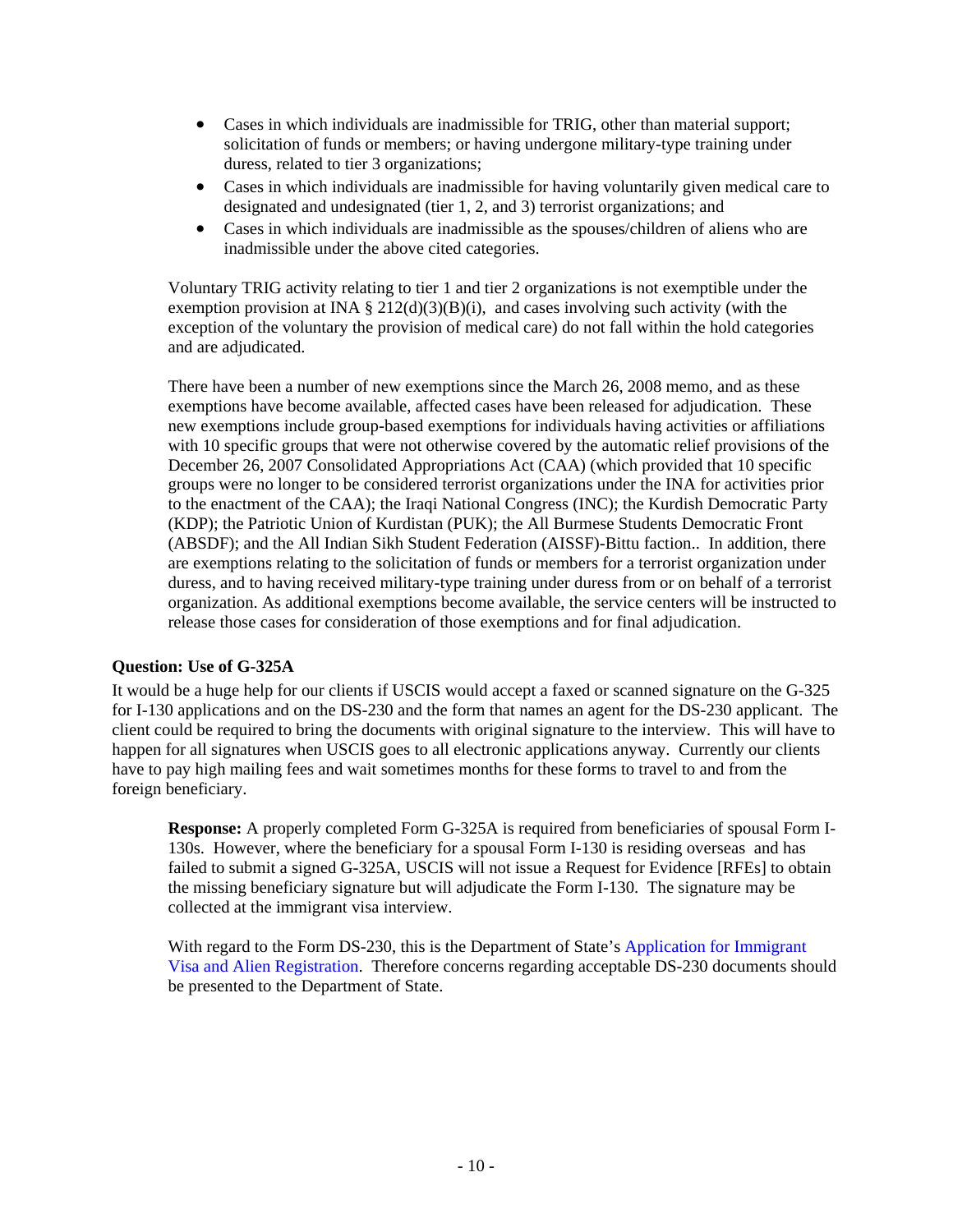- Cases in which individuals are inadmissible for TRIG, other than material support; solicitation of funds or members; or having undergone military-type training under duress, related to tier 3 organizations;
- Cases in which individuals are inadmissible for having voluntarily given medical care to designated and undesignated (tier 1, 2, and 3) terrorist organizations; and
- Cases in which individuals are inadmissible as the spouses/children of aliens who are inadmissible under the above cited categories.

Voluntary TRIG activity relating to tier 1 and tier 2 organizations is not exemptible under the exemption provision at INA § 212(d)(3)(B)(i), and cases involving such activity (with the exception of the voluntary the provision of medical care) do not fall within the hold categories and are adjudicated.

There have been a number of new exemptions since the March 26, 2008 memo, and as these exemptions have become available, affected cases have been released for adjudication. These new exemptions include group-based exemptions for individuals having activities or affiliations with 10 specific groups that were not otherwise covered by the automatic relief provisions of the December 26, 2007 Consolidated Appropriations Act (CAA) (which provided that 10 specific groups were no longer to be considered terrorist organizations under the INA for activities prior to the enactment of the CAA); the Iraqi National Congress (INC); the Kurdish Democratic Party (KDP); the Patriotic Union of Kurdistan (PUK); the All Burmese Students Democratic Front (ABSDF); and the All Indian Sikh Student Federation (AISSF)-Bittu faction.. In addition, there are exemptions relating to the solicitation of funds or members for a terrorist organization under duress, and to having received military-type training under duress from or on behalf of a terrorist organization. As additional exemptions become available, the service centers will be instructed to release those cases for consideration of those exemptions and for final adjudication.

# **Question: Use of G-325A**

It would be a huge help for our clients if USCIS would accept a faxed or scanned signature on the G-325 for I-130 applications and on the DS-230 and the form that names an agent for the DS-230 applicant. The client could be required to bring the documents with original signature to the interview. This will have to happen for all signatures when USCIS goes to all electronic applications anyway. Currently our clients have to pay high mailing fees and wait sometimes months for these forms to travel to and from the foreign beneficiary.

**Response:** A properly completed Form G-325A is required from beneficiaries of spousal Form I-130s. However, where the beneficiary for a spousal Form I-130 is residing overseas and has failed to submit a signed G-325A, USCIS will not issue a Request for Evidence [RFEs] to obtain the missing beneficiary signature but will adjudicate the Form I-130. The signature may be collected at the immigrant visa interview.

With regard to the Form DS-230, this is the Department of State's [Application for Immigrant](http://www.state.gov/documents/organization/81807.pdf)  [Visa and Alien Registration.](http://www.state.gov/documents/organization/81807.pdf) Therefore concerns regarding acceptable DS-230 documents should be presented to the Department of State.